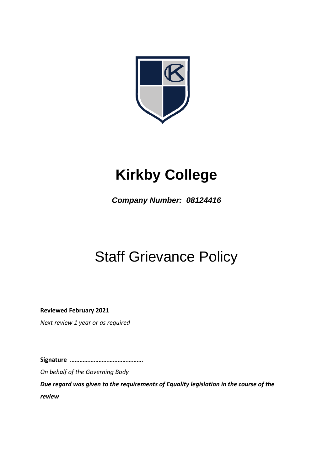

# **Kirkby College**

*Company Number: 08124416*

# Staff Grievance Policy

**Reviewed February 2021**

*Next review 1 year or as required*

**Signature ……………………………………….**

*On behalf of the Governing Body*

*Due regard was given to the requirements of Equality legislation in the course of the review*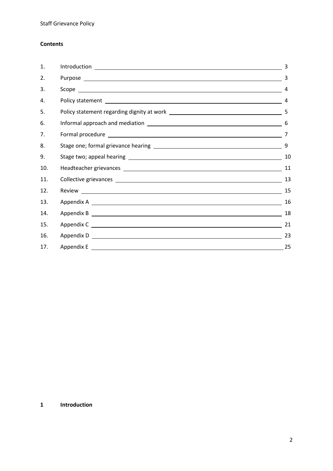# **Contents**

| 1.  | 3  |
|-----|----|
| 2.  | 3  |
| 3.  | 4  |
| 4.  |    |
| 5.  |    |
| 6.  | 6  |
| 7.  | 7  |
| 8.  | 9  |
| 9.  | 10 |
| 10. | 11 |
| 11. | 13 |
| 12. | 15 |
| 13. | 16 |
| 14. | 18 |
| 15. | 21 |
| 16. | 23 |
| 17. | 25 |

# **1 Introduction**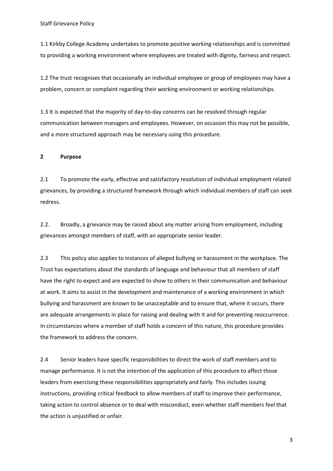1.1 Kirkby College Academy undertakes to promote positive working relationships and is committed to providing a working environment where employees are treated with dignity, fairness and respect.

1.2 The trust recognises that occasionally an individual employee or group of employees may have a problem, concern or complaint regarding their working environment or working relationships.

1.3 It is expected that the majority of day-to-day concerns can be resolved through regular communication between managers and employees. However, on occasion this may not be possible, and a more structured approach may be necessary using this procedure.

#### **2 Purpose**

2.1 To promote the early, effective and satisfactory resolution of individual employment related grievances, by providing a structured framework through which individual members of staff can seek redress.

2.2. Broadly, a grievance may be raised about any matter arising from employment, including grievances amongst members of staff, with an appropriate senior leader.

2.3 This policy also applies to instances of alleged bullying or harassment in the workplace. The Trust has expectations about the standards of language and behaviour that all members of staff have the right to expect and are expected to show to others in their communication and behaviour at work. It aims to assist in the development and maintenance of a working environment in which bullying and harassment are known to be unacceptable and to ensure that, where it occurs, there are adequate arrangements in place for raising and dealing with it and for preventing reoccurrence. In circumstances where a member of staff holds a concern of this nature, this procedure provides the framework to address the concern.

2.4 Senior leaders have specific responsibilities to direct the work of staff members and to manage performance. It is not the intention of the application of this procedure to affect those leaders from exercising these responsibilities appropriately and fairly. This includes issuing instructions, providing critical feedback to allow members of staff to improve their performance, taking action to control absence or to deal with misconduct, even whether staff members feel that the action is unjustified or unfair.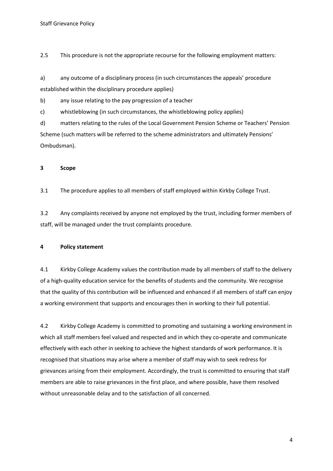2.5 This procedure is not the appropriate recourse for the following employment matters:

a) any outcome of a disciplinary process (in such circumstances the appeals' procedure established within the disciplinary procedure applies)

b) any issue relating to the pay progression of a teacher

c) whistleblowing (in such circumstances, the whistleblowing policy applies)

d) matters relating to the rules of the Local Government Pension Scheme or Teachers' Pension Scheme (such matters will be referred to the scheme administrators and ultimately Pensions' Ombudsman).

## **3 Scope**

3.1 The procedure applies to all members of staff employed within Kirkby College Trust.

3.2 Any complaints received by anyone not employed by the trust, including former members of staff, will be managed under the trust complaints procedure.

#### **4 Policy statement**

4.1 Kirkby College Academy values the contribution made by all members of staff to the delivery of a high-quality education service for the benefits of students and the community. We recognise that the quality of this contribution will be influenced and enhanced if all members of staff can enjoy a working environment that supports and encourages then in working to their full potential.

4.2 Kirkby College Academy is committed to promoting and sustaining a working environment in which all staff members feel valued and respected and in which they co-operate and communicate effectively with each other in seeking to achieve the highest standards of work performance. It is recognised that situations may arise where a member of staff may wish to seek redress for grievances arising from their employment. Accordingly, the trust is committed to ensuring that staff members are able to raise grievances in the first place, and where possible, have them resolved without unreasonable delay and to the satisfaction of all concerned.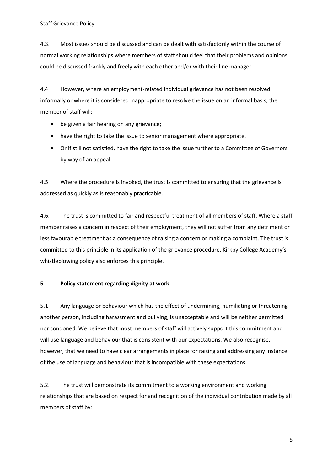4.3. Most issues should be discussed and can be dealt with satisfactorily within the course of normal working relationships where members of staff should feel that their problems and opinions could be discussed frankly and freely with each other and/or with their line manager.

4.4 However, where an employment-related individual grievance has not been resolved informally or where it is considered inappropriate to resolve the issue on an informal basis, the member of staff will:

- be given a fair hearing on any grievance;
- have the right to take the issue to senior management where appropriate.
- Or if still not satisfied, have the right to take the issue further to a Committee of Governors by way of an appeal

4.5 Where the procedure is invoked, the trust is committed to ensuring that the grievance is addressed as quickly as is reasonably practicable.

4.6. The trust is committed to fair and respectful treatment of all members of staff. Where a staff member raises a concern in respect of their employment, they will not suffer from any detriment or less favourable treatment as a consequence of raising a concern or making a complaint. The trust is committed to this principle in its application of the grievance procedure. Kirkby College Academy's whistleblowing policy also enforces this principle.

# **5 Policy statement regarding dignity at work**

5.1 Any language or behaviour which has the effect of undermining, humiliating or threatening another person, including harassment and bullying, is unacceptable and will be neither permitted nor condoned. We believe that most members of staff will actively support this commitment and will use language and behaviour that is consistent with our expectations. We also recognise, however, that we need to have clear arrangements in place for raising and addressing any instance of the use of language and behaviour that is incompatible with these expectations.

5.2. The trust will demonstrate its commitment to a working environment and working relationships that are based on respect for and recognition of the individual contribution made by all members of staff by: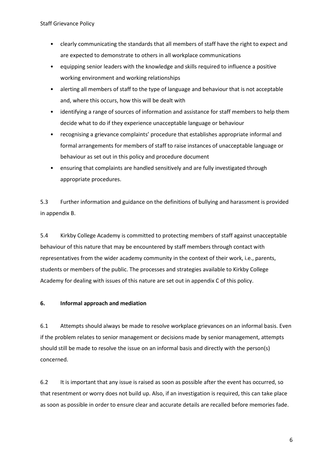Staff Grievance Policy

- clearly communicating the standards that all members of staff have the right to expect and are expected to demonstrate to others in all workplace communications
- equipping senior leaders with the knowledge and skills required to influence a positive working environment and working relationships
- alerting all members of staff to the type of language and behaviour that is not acceptable and, where this occurs, how this will be dealt with
- identifying a range of sources of information and assistance for staff members to help them decide what to do if they experience unacceptable language or behaviour
- recognising a grievance complaints' procedure that establishes appropriate informal and formal arrangements for members of staff to raise instances of unacceptable language or behaviour as set out in this policy and procedure document
- ensuring that complaints are handled sensitively and are fully investigated through appropriate procedures.

5.3 Further information and guidance on the definitions of bullying and harassment is provided in appendix B.

5.4 Kirkby College Academy is committed to protecting members of staff against unacceptable behaviour of this nature that may be encountered by staff members through contact with representatives from the wider academy community in the context of their work, i.e., parents, students or members of the public. The processes and strategies available to Kirkby College Academy for dealing with issues of this nature are set out in appendix C of this policy.

# **6. Informal approach and mediation**

6.1 Attempts should always be made to resolve workplace grievances on an informal basis. Even if the problem relates to senior management or decisions made by senior management, attempts should still be made to resolve the issue on an informal basis and directly with the person(s) concerned.

6.2 It is important that any issue is raised as soon as possible after the event has occurred, so that resentment or worry does not build up. Also, if an investigation is required, this can take place as soon as possible in order to ensure clear and accurate details are recalled before memories fade.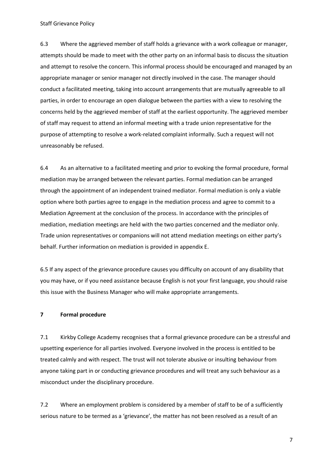Staff Grievance Policy

6.3 Where the aggrieved member of staff holds a grievance with a work colleague or manager, attempts should be made to meet with the other party on an informal basis to discuss the situation and attempt to resolve the concern. This informal process should be encouraged and managed by an appropriate manager or senior manager not directly involved in the case. The manager should conduct a facilitated meeting, taking into account arrangements that are mutually agreeable to all parties, in order to encourage an open dialogue between the parties with a view to resolving the concerns held by the aggrieved member of staff at the earliest opportunity. The aggrieved member of staff may request to attend an informal meeting with a trade union representative for the purpose of attempting to resolve a work-related complaint informally. Such a request will not unreasonably be refused.

6.4 As an alternative to a facilitated meeting and prior to evoking the formal procedure, formal mediation may be arranged between the relevant parties. Formal mediation can be arranged through the appointment of an independent trained mediator. Formal mediation is only a viable option where both parties agree to engage in the mediation process and agree to commit to a Mediation Agreement at the conclusion of the process. In accordance with the principles of mediation, mediation meetings are held with the two parties concerned and the mediator only. Trade union representatives or companions will not attend mediation meetings on either party's behalf. Further information on mediation is provided in appendix E.

6.5 If any aspect of the grievance procedure causes you difficulty on account of any disability that you may have, or if you need assistance because English is not your first language, you should raise this issue with the Business Manager who will make appropriate arrangements.

## **7 Formal procedure**

7.1 Kirkby College Academy recognises that a formal grievance procedure can be a stressful and upsetting experience for all parties involved. Everyone involved in the process is entitled to be treated calmly and with respect. The trust will not tolerate abusive or insulting behaviour from anyone taking part in or conducting grievance procedures and will treat any such behaviour as a misconduct under the disciplinary procedure.

7.2 Where an employment problem is considered by a member of staff to be of a sufficiently serious nature to be termed as a 'grievance', the matter has not been resolved as a result of an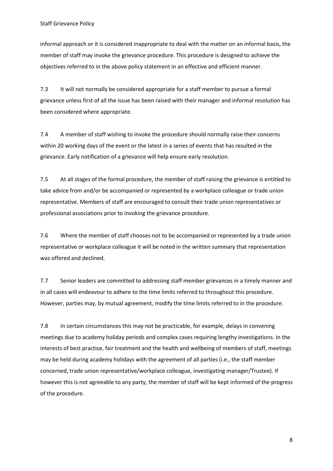informal approach or it is considered inappropriate to deal with the matter on an informal basis, the member of staff may invoke the grievance procedure. This procedure is designed to achieve the objectives referred to in the above policy statement in an effective and efficient manner.

7.3 It will not normally be considered appropriate for a staff member to pursue a formal grievance unless first of all the issue has been raised with their manager and informal resolution has been considered where appropriate.

7.4 A member of staff wishing to invoke the procedure should normally raise their concerns within 20 working days of the event or the latest in a series of events that has resulted in the grievance. Early notification of a grievance will help ensure early resolution.

7.5 At all stages of the formal procedure, the member of staff raising the grievance is entitled to take advice from and/or be accompanied or represented by a workplace colleague or trade union representative. Members of staff are encouraged to consult their trade union representatives or professional associations prior to invoking the grievance procedure.

7.6 Where the member of staff chooses not to be accompanied or represented by a trade union representative or workplace colleague it will be noted in the written summary that representation was offered and declined.

7.7 Senior leaders are committed to addressing staff member grievances in a timely manner and in all cases will endeavour to adhere to the time limits referred to throughout this procedure. However, parties may, by mutual agreement, modify the time limits referred to in the procedure.

7.8 In certain circumstances this may not be practicable, for example, delays in convening meetings due to academy holiday periods and complex cases requiring lengthy investigations. In the interests of best practice, fair treatment and the health and wellbeing of members of staff, meetings may be held during academy holidays with the agreement of all parties (i.e., the staff member concerned, trade union representative/workplace colleague, investigating manager/Trustee). If however this is not agreeable to any party, the member of staff will be kept informed of the progress of the procedure.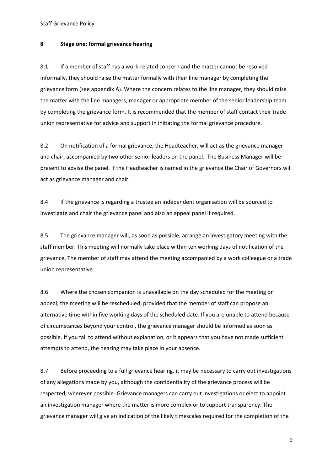Staff Grievance Policy

#### **8 Stage one: formal grievance hearing**

8.1 If a member of staff has a work-related concern and the matter cannot be resolved informally, they should raise the matter formally with their line manager by completing the grievance form (see appendix A). Where the concern relates to the line manager, they should raise the matter with the line managers, manager or appropriate member of the senior leadership team by completing the grievance form. It is recommended that the member of staff contact their trade union representative for advice and support in initiating the formal grievance procedure.

8.2 On notification of a formal grievance, the Headteacher, will act as the grievance manager and chair, accompanied by two other senior leaders on the panel. The Business Manager will be present to advise the panel. If the Headteacher is named in the grievance the Chair of Governors will act as grievance manager and chair.

8.4 If the grievance is regarding a trustee an independent organisation will be sourced to investigate and chair the grievance panel and also an appeal panel if required.

8.5 The grievance manager will, as soon as possible, arrange an investigatory meeting with the staff member. This meeting will normally take place within ten working days of notification of the grievance. The member of staff may attend the meeting accompanied by a work colleague or a trade union representative.

8.6 Where the chosen companion is unavailable on the day scheduled for the meeting or appeal, the meeting will be rescheduled, provided that the member of staff can propose an alternative time within five working days of the scheduled date. If you are unable to attend because of circumstances beyond your control, the grievance manager should be informed as soon as possible. If you fail to attend without explanation, or it appears that you have not made sufficient attempts to attend, the hearing may take place in your absence.

8.7 Before proceeding to a full grievance hearing, it may be necessary to carry out investigations of any allegations made by you, although the confidentiality of the grievance process will be respected, wherever possible. Grievance managers can carry out investigations or elect to appoint an investigation manager where the matter is more complex or to support transparency. The grievance manager will give an indication of the likely timescales required for the completion of the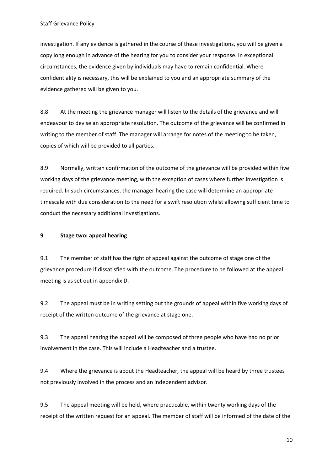investigation. If any evidence is gathered in the course of these investigations, you will be given a copy long enough in advance of the hearing for you to consider your response. In exceptional circumstances, the evidence given by individuals may have to remain confidential. Where confidentiality is necessary, this will be explained to you and an appropriate summary of the evidence gathered will be given to you.

8.8 At the meeting the grievance manager will listen to the details of the grievance and will endeavour to devise an appropriate resolution. The outcome of the grievance will be confirmed in writing to the member of staff. The manager will arrange for notes of the meeting to be taken, copies of which will be provided to all parties.

8.9 Normally, written confirmation of the outcome of the grievance will be provided within five working days of the grievance meeting, with the exception of cases where further investigation is required. In such circumstances, the manager hearing the case will determine an appropriate timescale with due consideration to the need for a swift resolution whilst allowing sufficient time to conduct the necessary additional investigations.

#### **9 Stage two: appeal hearing**

9.1 The member of staff has the right of appeal against the outcome of stage one of the grievance procedure if dissatisfied with the outcome. The procedure to be followed at the appeal meeting is as set out in appendix D.

9.2 The appeal must be in writing setting out the grounds of appeal within five working days of receipt of the written outcome of the grievance at stage one.

9.3 The appeal hearing the appeal will be composed of three people who have had no prior involvement in the case. This will include a Headteacher and a trustee.

9.4 Where the grievance is about the Headteacher, the appeal will be heard by three trustees not previously involved in the process and an independent advisor.

9.5 The appeal meeting will be held, where practicable, within twenty working days of the receipt of the written request for an appeal. The member of staff will be informed of the date of the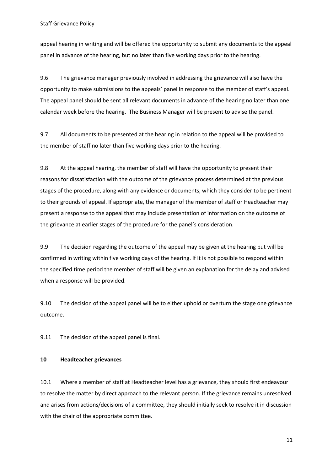appeal hearing in writing and will be offered the opportunity to submit any documents to the appeal panel in advance of the hearing, but no later than five working days prior to the hearing.

9.6 The grievance manager previously involved in addressing the grievance will also have the opportunity to make submissions to the appeals' panel in response to the member of staff's appeal. The appeal panel should be sent all relevant documents in advance of the hearing no later than one calendar week before the hearing. The Business Manager will be present to advise the panel.

9.7 All documents to be presented at the hearing in relation to the appeal will be provided to the member of staff no later than five working days prior to the hearing.

9.8 At the appeal hearing, the member of staff will have the opportunity to present their reasons for dissatisfaction with the outcome of the grievance process determined at the previous stages of the procedure, along with any evidence or documents, which they consider to be pertinent to their grounds of appeal. If appropriate, the manager of the member of staff or Headteacher may present a response to the appeal that may include presentation of information on the outcome of the grievance at earlier stages of the procedure for the panel's consideration.

9.9 The decision regarding the outcome of the appeal may be given at the hearing but will be confirmed in writing within five working days of the hearing. If it is not possible to respond within the specified time period the member of staff will be given an explanation for the delay and advised when a response will be provided.

9.10 The decision of the appeal panel will be to either uphold or overturn the stage one grievance outcome.

9.11 The decision of the appeal panel is final.

#### **10 Headteacher grievances**

10.1 Where a member of staff at Headteacher level has a grievance, they should first endeavour to resolve the matter by direct approach to the relevant person. If the grievance remains unresolved and arises from actions/decisions of a committee, they should initially seek to resolve it in discussion with the chair of the appropriate committee.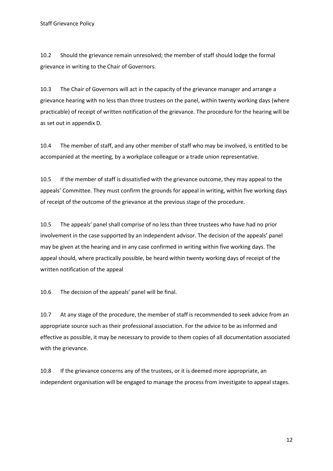10.2 Should the grievance remain unresolved; the member of staff should lodge the formal grievance in writing to the Chair of Governors.

10.3 The Chair of Governors will act in the capacity of the grievance manager and arrange a grievance hearing with no less than three trustees on the panel, within twenty working days (where practicable) of receipt of written notification of the grievance. The procedure for the hearing will be as set out in appendix D.

10.4 The member of staff, and any other member of staff who may be involved, is entitled to be accompanied at the meeting, by a workplace colleague or a trade union representative.

10.5 If the member of staff is dissatisfied with the grievance outcome, they may appeal to the appeals' Committee. They must confirm the grounds for appeal in writing, within five working days of receipt of the outcome of the grievance at the previous stage of the procedure.

10.5 The appeals' panel shall comprise of no less than three trustees who have had no prior involvement in the case supported by an independent advisor. The decision of the appeals' panel may be given at the hearing and in any case confirmed in writing within five working days. The appeal should, where practically possible, be heard within twenty working days of receipt of the written notification of the appeal

10.6 The decision of the appeals' panel will be final.

10.7 At any stage of the procedure, the member of staff is recommended to seek advice from an appropriate source such as their professional association. For the advice to be as informed and effective as possible, it may be necessary to provide to them copies of all documentation associated with the grievance.

10.8 If the grievance concerns any of the trustees, or it is deemed more appropriate, an independent organisation will be engaged to manage the process from investigate to appeal stages.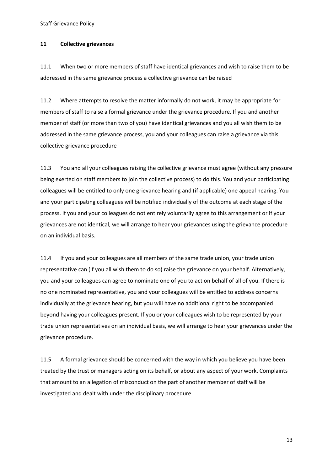Staff Grievance Policy

#### **11 Collective grievances**

11.1 When two or more members of staff have identical grievances and wish to raise them to be addressed in the same grievance process a collective grievance can be raised

11.2 Where attempts to resolve the matter informally do not work, it may be appropriate for members of staff to raise a formal grievance under the grievance procedure. If you and another member of staff (or more than two of you) have identical grievances and you all wish them to be addressed in the same grievance process, you and your colleagues can raise a grievance via this collective grievance procedure

11.3 You and all your colleagues raising the collective grievance must agree (without any pressure being exerted on staff members to join the collective process) to do this. You and your participating colleagues will be entitled to only one grievance hearing and (if applicable) one appeal hearing. You and your participating colleagues will be notified individually of the outcome at each stage of the process. If you and your colleagues do not entirely voluntarily agree to this arrangement or if your grievances are not identical, we will arrange to hear your grievances using the grievance procedure on an individual basis.

11.4 If you and your colleagues are all members of the same trade union, your trade union representative can (if you all wish them to do so) raise the grievance on your behalf. Alternatively, you and your colleagues can agree to nominate one of you to act on behalf of all of you. If there is no one nominated representative, you and your colleagues will be entitled to address concerns individually at the grievance hearing, but you will have no additional right to be accompanied beyond having your colleagues present. If you or your colleagues wish to be represented by your trade union representatives on an individual basis, we will arrange to hear your grievances under the grievance procedure.

11.5 A formal grievance should be concerned with the way in which you believe you have been treated by the trust or managers acting on its behalf, or about any aspect of your work. Complaints that amount to an allegation of misconduct on the part of another member of staff will be investigated and dealt with under the disciplinary procedure.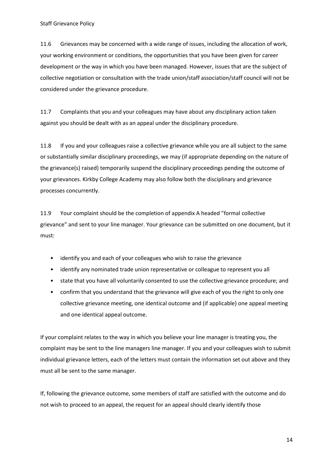11.6 Grievances may be concerned with a wide range of issues, including the allocation of work, your working environment or conditions, the opportunities that you have been given for career development or the way in which you have been managed. However, issues that are the subject of collective negotiation or consultation with the trade union/staff association/staff council will not be considered under the grievance procedure.

11.7 Complaints that you and your colleagues may have about any disciplinary action taken against you should be dealt with as an appeal under the disciplinary procedure.

11.8 If you and your colleagues raise a collective grievance while you are all subject to the same or substantially similar disciplinary proceedings, we may (if appropriate depending on the nature of the grievance(s) raised) temporarily suspend the disciplinary proceedings pending the outcome of your grievances. Kirkby College Academy may also follow both the disciplinary and grievance processes concurrently.

11.9 Your complaint should be the completion of appendix A headed "formal collective grievance" and sent to your line manager. Your grievance can be submitted on one document, but it must:

- identify you and each of your colleagues who wish to raise the grievance
- identify any nominated trade union representative or colleague to represent you all
- state that you have all voluntarily consented to use the collective grievance procedure; and
- confirm that you understand that the grievance will give each of you the right to only one collective grievance meeting, one identical outcome and (if applicable) one appeal meeting and one identical appeal outcome.

If your complaint relates to the way in which you believe your line manager is treating you, the complaint may be sent to the line managers line manager. If you and your colleagues wish to submit individual grievance letters, each of the letters must contain the information set out above and they must all be sent to the same manager.

If, following the grievance outcome, some members of staff are satisfied with the outcome and do not wish to proceed to an appeal, the request for an appeal should clearly identify those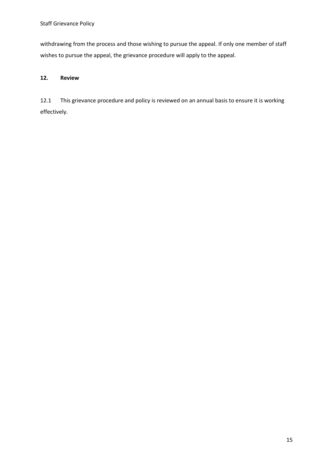withdrawing from the process and those wishing to pursue the appeal. If only one member of staff wishes to pursue the appeal, the grievance procedure will apply to the appeal.

# **12. Review**

12.1 This grievance procedure and policy is reviewed on an annual basis to ensure it is working effectively.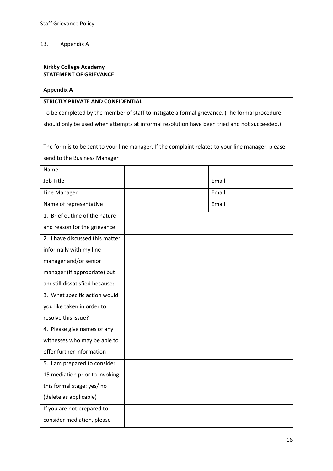#### 13. Appendix A

## **Kirkby College Academy STATEMENT OF GRIEVANCE**

#### **Appendix A**

# **STRICTLY PRIVATE AND CONFIDENTIAL**

To be completed by the member of staff to instigate a formal grievance. (The formal procedure

should only be used when attempts at informal resolution have been tried and not succeeded.)

The form is to be sent to your line manager. If the complaint relates to your line manager, please send to the Business Manager

| Name                            |       |
|---------------------------------|-------|
| <b>Job Title</b>                | Email |
| Line Manager                    | Email |
| Name of representative          | Email |
| 1. Brief outline of the nature  |       |
| and reason for the grievance    |       |
| 2. I have discussed this matter |       |
| informally with my line         |       |
| manager and/or senior           |       |
| manager (if appropriate) but I  |       |
| am still dissatisfied because:  |       |
| 3. What specific action would   |       |
| you like taken in order to      |       |
| resolve this issue?             |       |
| 4. Please give names of any     |       |
| witnesses who may be able to    |       |
| offer further information       |       |
| 5. I am prepared to consider    |       |
| 15 mediation prior to invoking  |       |
| this formal stage: yes/ no      |       |
| (delete as applicable)          |       |
| If you are not prepared to      |       |
| consider mediation, please      |       |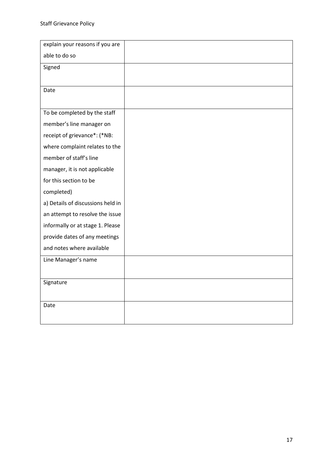| explain your reasons if you are   |  |
|-----------------------------------|--|
| able to do so                     |  |
| Signed                            |  |
|                                   |  |
| Date                              |  |
|                                   |  |
| To be completed by the staff      |  |
| member's line manager on          |  |
| receipt of grievance*: (*NB:      |  |
| where complaint relates to the    |  |
| member of staff's line            |  |
| manager, it is not applicable     |  |
| for this section to be            |  |
| completed)                        |  |
| a) Details of discussions held in |  |
| an attempt to resolve the issue   |  |
| informally or at stage 1. Please  |  |
| provide dates of any meetings     |  |
| and notes where available         |  |
| Line Manager's name               |  |
|                                   |  |
| Signature                         |  |
|                                   |  |
| Date                              |  |
|                                   |  |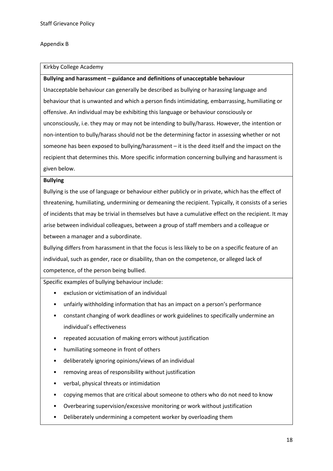#### Appendix B

#### Kirkby College Academy

#### **Bullying and harassment – guidance and definitions of unacceptable behaviour**

Unacceptable behaviour can generally be described as bullying or harassing language and behaviour that is unwanted and which a person finds intimidating, embarrassing, humiliating or offensive. An individual may be exhibiting this language or behaviour consciously or unconsciously, i.e. they may or may not be intending to bully/harass. However, the intention or non-intention to bully/harass should not be the determining factor in assessing whether or not someone has been exposed to bullying/harassment – it is the deed itself and the impact on the recipient that determines this. More specific information concerning bullying and harassment is given below.

#### **Bullying**

Bullying is the use of language or behaviour either publicly or in private, which has the effect of threatening, humiliating, undermining or demeaning the recipient. Typically, it consists of a series of incidents that may be trivial in themselves but have a cumulative effect on the recipient. It may arise between individual colleagues, between a group of staff members and a colleague or between a manager and a subordinate.

Bullying differs from harassment in that the focus is less likely to be on a specific feature of an individual, such as gender, race or disability, than on the competence, or alleged lack of competence, of the person being bullied.

Specific examples of bullying behaviour include:

- exclusion or victimisation of an individual
- unfairly withholding information that has an impact on a person's performance
- constant changing of work deadlines or work guidelines to specifically undermine an individual's effectiveness
- repeated accusation of making errors without justification
- humiliating someone in front of others
- deliberately ignoring opinions/views of an individual
- removing areas of responsibility without justification
- verbal, physical threats or intimidation
- copying memos that are critical about someone to others who do not need to know
- Overbearing supervision/excessive monitoring or work without justification
- Deliberately undermining a competent worker by overloading them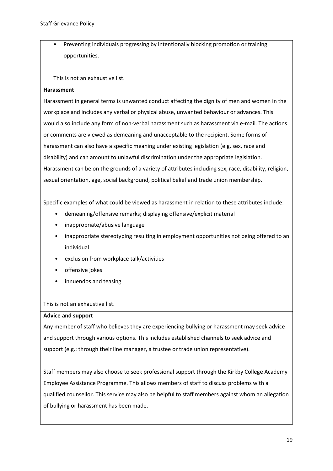• Preventing individuals progressing by intentionally blocking promotion or training opportunities.

# This is not an exhaustive list.

#### **Harassment**

Harassment in general terms is unwanted conduct affecting the dignity of men and women in the workplace and includes any verbal or physical abuse, unwanted behaviour or advances. This would also include any form of non-verbal harassment such as harassment via e-mail. The actions or comments are viewed as demeaning and unacceptable to the recipient. Some forms of harassment can also have a specific meaning under existing legislation (e.g. sex, race and disability) and can amount to unlawful discrimination under the appropriate legislation. Harassment can be on the grounds of a variety of attributes including sex, race, disability, religion, sexual orientation, age, social background, political belief and trade union membership.

Specific examples of what could be viewed as harassment in relation to these attributes include:

- demeaning/offensive remarks; displaying offensive/explicit material
- inappropriate/abusive language
- inappropriate stereotyping resulting in employment opportunities not being offered to an individual
- exclusion from workplace talk/activities
- offensive jokes
- innuendos and teasing

This is not an exhaustive list.

#### **Advice and support**

Any member of staff who believes they are experiencing bullying or harassment may seek advice and support through various options. This includes established channels to seek advice and support (e.g.: through their line manager, a trustee or trade union representative).

Staff members may also choose to seek professional support through the Kirkby College Academy Employee Assistance Programme. This allows members of staff to discuss problems with a qualified counsellor. This service may also be helpful to staff members against whom an allegation of bullying or harassment has been made.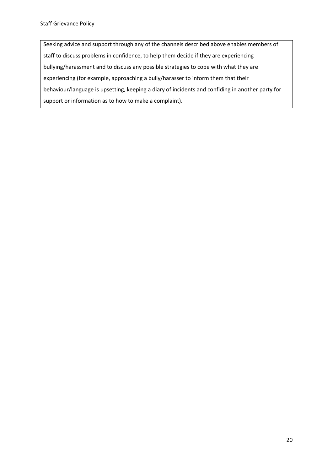Seeking advice and support through any of the channels described above enables members of staff to discuss problems in confidence, to help them decide if they are experiencing bullying/harassment and to discuss any possible strategies to cope with what they are experiencing (for example, approaching a bully/harasser to inform them that their behaviour/language is upsetting, keeping a diary of incidents and confiding in another party for support or information as to how to make a complaint).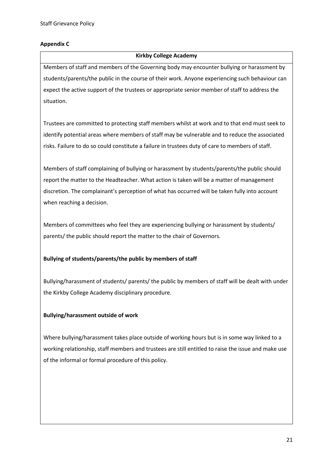# **Appendix C**

## **Kirkby College Academy**

Members of staff and members of the Governing body may encounter bullying or harassment by students/parents/the public in the course of their work. Anyone experiencing such behaviour can expect the active support of the trustees or appropriate senior member of staff to address the situation.

Trustees are committed to protecting staff members whilst at work and to that end must seek to identify potential areas where members of staff may be vulnerable and to reduce the associated risks. Failure to do so could constitute a failure in trustees duty of care to members of staff.

Members of staff complaining of bullying or harassment by students/parents/the public should report the matter to the Headteacher. What action is taken will be a matter of management discretion. The complainant's perception of what has occurred will be taken fully into account when reaching a decision.

Members of committees who feel they are experiencing bullying or harassment by students/ parents/ the public should report the matter to the chair of Governors.

# **Bullying of students/parents/the public by members of staff**

Bullying/harassment of students/ parents/ the public by members of staff will be dealt with under the Kirkby College Academy disciplinary procedure.

# **Bullying/harassment outside of work**

Where bullying/harassment takes place outside of working hours but is in some way linked to a working relationship, staff members and trustees are still entitled to raise the issue and make use of the informal or formal procedure of this policy.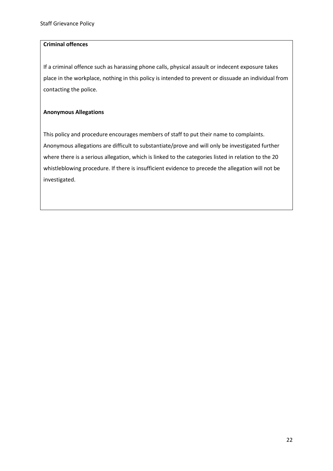## **Criminal offences**

If a criminal offence such as harassing phone calls, physical assault or indecent exposure takes place in the workplace, nothing in this policy is intended to prevent or dissuade an individual from contacting the police.

## **Anonymous Allegations**

This policy and procedure encourages members of staff to put their name to complaints. Anonymous allegations are difficult to substantiate/prove and will only be investigated further where there is a serious allegation, which is linked to the categories listed in relation to the 20 whistleblowing procedure. If there is insufficient evidence to precede the allegation will not be investigated.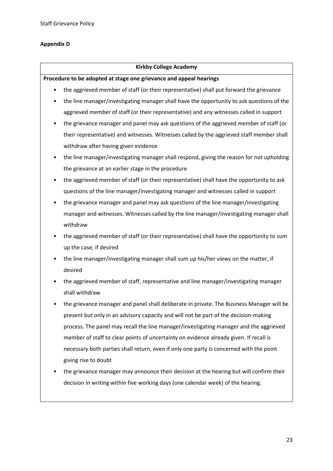# **Appendix D**

#### **Kirkby College Academy**

**Procedure to be adopted at stage one grievance and appeal hearings**

- the aggrieved member of staff (or their representative) shall put forward the grievance
- the line manager/investigating manager shall have the opportunity to ask questions of the aggrieved member of staff (or their representative) and any witnesses called in support
- the grievance manager and panel may ask questions of the aggrieved member of staff (or their representative) and witnesses. Witnesses called by the aggrieved staff member shall withdraw after having given evidence
- the line manager/investigating manager shall respond, giving the reason for not upholding the grievance at an earlier stage in the procedure
- the aggrieved member of staff (or their representative) shall have the opportunity to ask questions of the line manager/investigating manager and witnesses called in support
- the grievance manager and panel may ask questions of the line manager/investigating manager and witnesses. Witnesses called by the line manager/investigating manager shall withdraw
- the aggrieved member of staff (or their representative) shall have the opportunity to sum up the case, if desired
- the line manager/investigating manager shall sum up his/her views on the matter, if desired
- the aggrieved member of staff, representative and line manager/investigating manager shall withdraw
- the grievance manager and panel shall deliberate in private. The Business Manager will be present but only in an advisory capacity and will not be part of the decision-making process. The panel may recall the line manager/investigating manager and the aggrieved member of staff to clear points of uncertainty on evidence already given. If recall is necessary both parties shall return, even if only one party is concerned with the point giving rise to doubt
- the grievance manager may announce their decision at the hearing but will confirm their decision in writing within five working days (one calendar week) of the hearing.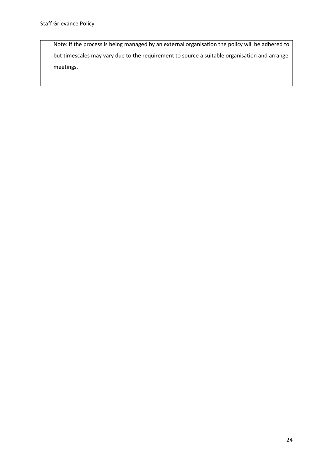Note: if the process is being managed by an external organisation the policy will be adhered to but timescales may vary due to the requirement to source a suitable organisation and arrange meetings.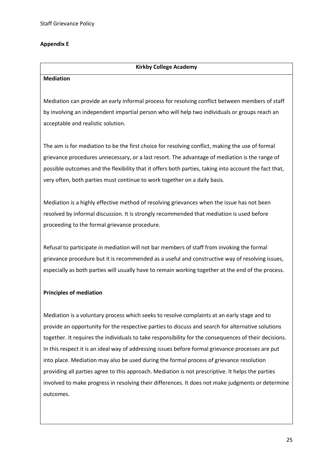# **Appendix E**

## **Kirkby College Academy**

#### **Mediation**

Mediation can provide an early informal process for resolving conflict between members of staff by involving an independent impartial person who will help two individuals or groups reach an acceptable and realistic solution.

The aim is for mediation to be the first choice for resolving conflict, making the use of formal grievance procedures unnecessary, or a last resort. The advantage of mediation is the range of possible outcomes and the flexibility that it offers both parties, taking into account the fact that, very often, both parties must continue to work together on a daily basis.

Mediation is a highly effective method of resolving grievances when the issue has not been resolved by informal discussion. It is strongly recommended that mediation is used before proceeding to the formal grievance procedure.

Refusal to participate in mediation will not bar members of staff from invoking the formal grievance procedure but it is recommended as a useful and constructive way of resolving issues, especially as both parties will usually have to remain working together at the end of the process.

#### **Principles of mediation**

Mediation is a voluntary process which seeks to resolve complaints at an early stage and to provide an opportunity for the respective parties to discuss and search for alternative solutions together. It requires the individuals to take responsibility for the consequences of their decisions. In this respect it is an ideal way of addressing issues before formal grievance processes are put into place. Mediation may also be used during the formal process of grievance resolution providing all parties agree to this approach. Mediation is not prescriptive. It helps the parties involved to make progress in resolving their differences. It does not make judgments or determine outcomes.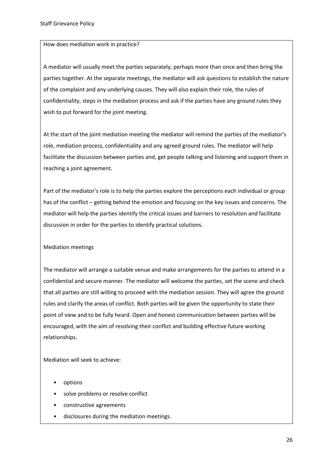#### How does mediation work in practice?

A mediator will usually meet the parties separately, perhaps more than once and then bring the parties together. At the separate meetings, the mediator will ask questions to establish the nature of the complaint and any underlying causes. They will also explain their role, the rules of confidentiality, steps in the mediation process and ask if the parties have any ground rules they wish to put forward for the joint meeting.

At the start of the joint mediation meeting the mediator will remind the parties of the mediator's role, mediation process, confidentiality and any agreed ground rules. The mediator will help facilitate the discussion between parties and, get people talking and listening and support them in reaching a joint agreement.

Part of the mediator's role is to help the parties explore the perceptions each individual or group has of the conflict – getting behind the emotion and focusing on the key issues and concerns. The mediator will help the parties identify the critical issues and barriers to resolution and facilitate discussion in order for the parties to identify practical solutions.

#### Mediation meetings

The mediator will arrange a suitable venue and make arrangements for the parties to attend in a confidential and secure manner. The mediator will welcome the parties, set the scene and check that all parties are still willing to proceed with the mediation session. They will agree the ground rules and clarify the areas of conflict. Both parties will be given the opportunity to state their point of view and to be fully heard. Open and honest communication between parties will be encouraged, with the aim of resolving their conflict and building effective future working relationships.

Mediation will seek to achieve:

- options
- solve problems or resolve conflict
- constructive agreements
- disclosures during the mediation meetings.